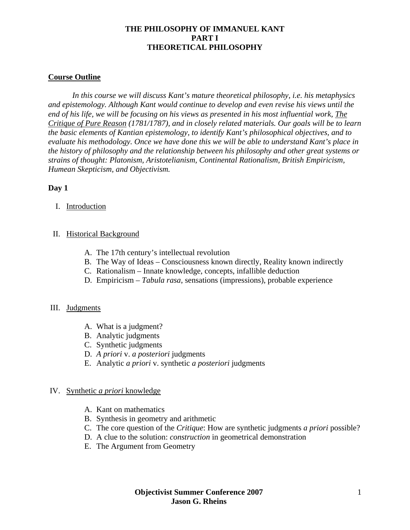## **Course Outline**

*In this course we will discuss Kant's mature theoretical philosophy, i.e. his metaphysics and epistemology. Although Kant would continue to develop and even revise his views until the end of his life, we will be focusing on his views as presented in his most influential work, The Critique of Pure Reason (1781/1787), and in closely related materials. Our goals will be to learn the basic elements of Kantian epistemology, to identify Kant's philosophical objectives, and to evaluate his methodology. Once we have done this we will be able to understand Kant's place in the history of philosophy and the relationship between his philosophy and other great systems or strains of thought: Platonism, Aristotelianism, Continental Rationalism, British Empiricism, Humean Skepticism, and Objectivism.*

#### **Day 1**

I. Introduction

#### II. Historical Background

- A. The 17th century's intellectual revolution
- B. The Way of Ideas Consciousness known directly, Reality known indirectly
- C. Rationalism Innate knowledge, concepts, infallible deduction
- D. Empiricism *Tabula rasa*, sensations (impressions), probable experience

#### III. Judgments

- A. What is a judgment?
- B. Analytic judgments
- C. Synthetic judgments
- D. *A priori* v. *a posteriori* judgments
- E. Analytic *a priori* v. synthetic *a posteriori* judgments

#### IV. Synthetic *a priori* knowledge

- A. Kant on mathematics
- B. Synthesis in geometry and arithmetic
- C. The core question of the *Critique*: How are synthetic judgments *a priori* possible?
- D. A clue to the solution: *construction* in geometrical demonstration
- E. The Argument from Geometry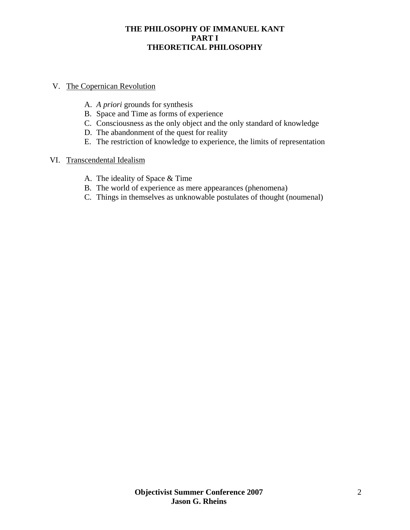# V. The Copernican Revolution

- A. *A priori* grounds for synthesis
- B. Space and Time as forms of experience
- C. Consciousness as the only object and the only standard of knowledge
- D. The abandonment of the quest for reality
- E. The restriction of knowledge to experience, the limits of representation

#### VI. Transcendental Idealism

- A. The ideality of Space & Time
- B. The world of experience as mere appearances (phenomena)
- C. Things in themselves as unknowable postulates of thought (noumenal)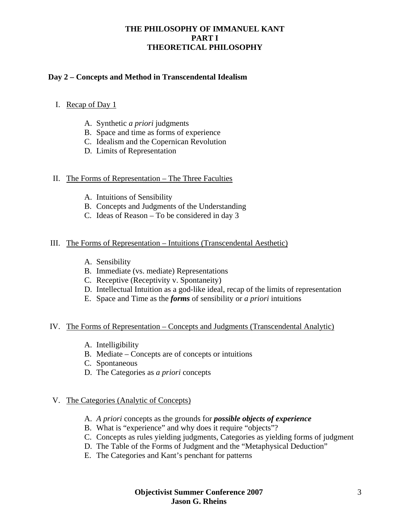# **Day 2 – Concepts and Method in Transcendental Idealism**

## I. Recap of Day 1

- A. Synthetic *a priori* judgments
- B. Space and time as forms of experience
- C. Idealism and the Copernican Revolution
- D. Limits of Representation

## II. The Forms of Representation – The Three Faculties

- A. Intuitions of Sensibility
- B. Concepts and Judgments of the Understanding
- C. Ideas of Reason To be considered in day 3

#### III. The Forms of Representation – Intuitions (Transcendental Aesthetic)

- A. Sensibility
- B. Immediate (vs. mediate) Representations
- C. Receptive (Receptivity v. Spontaneity)
- D. Intellectual Intuition as a god-like ideal, recap of the limits of representation
- E. Space and Time as the *forms* of sensibility or *a priori* intuitions

#### IV. The Forms of Representation – Concepts and Judgments (Transcendental Analytic)

- A. Intelligibility
- B. Mediate Concepts are of concepts or intuitions
- C. Spontaneous
- D. The Categories as *a priori* concepts

#### V. The Categories (Analytic of Concepts)

- A. *A priori* concepts as the grounds for *possible objects of experience*
- B. What is "experience" and why does it require "objects"?
- C. Concepts as rules yielding judgments, Categories as yielding forms of judgment
- D. The Table of the Forms of Judgment and the "Metaphysical Deduction"
- E. The Categories and Kant's penchant for patterns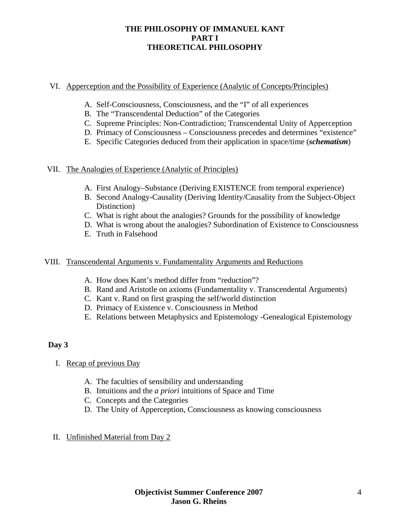## VI. Apperception and the Possibility of Experience (Analytic of Concepts/Principles)

- A. Self-Consciousness, Consciousness, and the "I" of all experiences
- B. The "Transcendental Deduction" of the Categories
- C. Supreme Principles: Non-Contradiction; Transcendental Unity of Apperception
- D. Primacy of Consciousness Consciousness precedes and determines "existence"
- E. Specific Categories deduced from their application in space/time (*schematism*)

## VII. The Analogies of Experience (Analytic of Principles)

- A. First Analogy–Substance (Deriving EXISTENCE from temporal experience)
- B. Second Analogy-Causality (Deriving Identity/Causality from the Subject-Object Distinction)
- C. What is right about the analogies? Grounds for the possibility of knowledge
- D. What is wrong about the analogies? Subordination of Existence to Consciousness
- E. Truth in Falsehood

## VIII. Transcendental Arguments v. Fundamentality Arguments and Reductions

- A. How does Kant's method differ from "reduction"?
- B. Rand and Aristotle on axioms (Fundamentality v. Transcendental Arguments)
- C. Kant v. Rand on first grasping the self/world distinction
- D. Primacy of Existence v. Consciousness in Method
- E. Relations between Metaphysics and Epistemology -Genealogical Epistemology

## **Day 3**

- I. Recap of previous Day
	- A. The faculties of sensibility and understanding
	- B. Intuitions and the *a priori* intuitions of Space and Time
	- C. Concepts and the Categories
	- D. The Unity of Apperception, Consciousness as knowing consciousness
- II. Unfinished Material from Day 2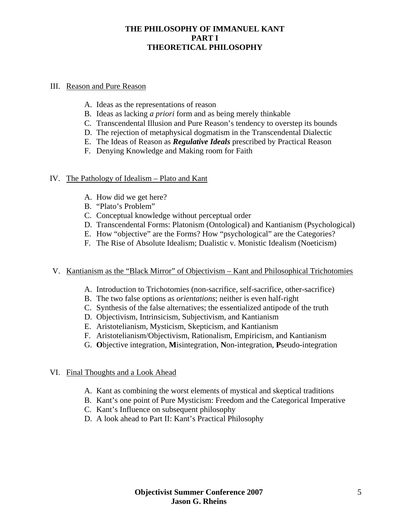#### III. Reason and Pure Reason

- A. Ideas as the representations of reason
- B. Ideas as lacking *a priori* form and as being merely thinkable
- C. Transcendental Illusion and Pure Reason's tendency to overstep its bounds
- D. The rejection of metaphysical dogmatism in the Transcendental Dialectic
- E. The Ideas of Reason as *Regulative Ideals* prescribed by Practical Reason
- F. Denying Knowledge and Making room for Faith

#### IV. The Pathology of Idealism – Plato and Kant

- A. How did we get here?
- B. "Plato's Problem"
- C. Conceptual knowledge without perceptual order
- D. Transcendental Forms: Platonism (Ontological) and Kantianism (Psychological)
- E. How "objective" are the Forms? How "psychological" are the Categories?
- F. The Rise of Absolute Idealism; Dualistic v. Monistic Idealism (Noeticism)

#### V. Kantianism as the "Black Mirror" of Objectivism – Kant and Philosophical Trichotomies

- A. Introduction to Trichotomies (non-sacrifice, self-sacrifice, other-sacrifice)
- B. The two false options as *orientations*; neither is even half-right
- C. Synthesis of the false alternatives; the essentialized antipode of the truth
- D. Objectivism, Intrinsicism, Subjectivism, and Kantianism
- E. Aristotelianism, Mysticism, Skepticism, and Kantianism
- F. Aristotelianism/Objectivism, Rationalism, Empiricism, and Kantianism
- G. **O**bjective integration, **M**isintegration, **N**on-integration, **P**seudo-integration

# VI. Final Thoughts and a Look Ahead

- A. Kant as combining the worst elements of mystical and skeptical traditions
- B. Kant's one point of Pure Mysticism: Freedom and the Categorical Imperative
- C. Kant's Influence on subsequent philosophy
- D. A look ahead to Part II: Kant's Practical Philosophy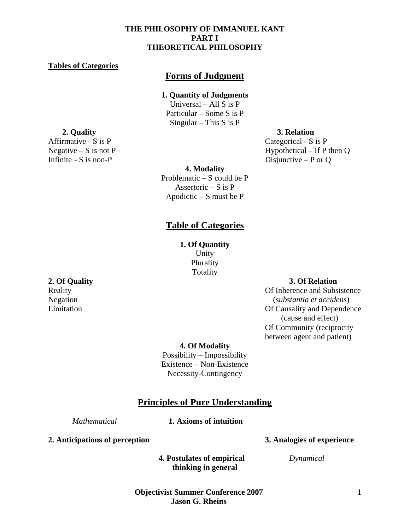#### **Tables of Categories**

# **Forms of Judgment**

#### **1. Quantity of Judgments**

Universal – All S is P Particular – Some S is P Singular – This S is P

#### **2. Quality 3. Relation**

Affirmative - S is P Categorical - S is P Negative – S is not P<br>Infinite - S is non-P<br>Infinite – S is non-P<br>Infinite – P or O Disjunctive – P or  $O$ 

#### **4. Modality**

Problematic – S could be P Assertoric  $- S$  is  $P$ Apodictic  $- S$  must be P

# **Table of Categories**

**1. Of Quantity**  Unity Plurality Totality

#### **2. Of Quality 3. Of Relation**

Reality **Contract Contract Contract Contract Contract Contract Contract Contract Contract Contract Contract Contract Contract Contract Contract Contract Contract Contract Contract Contract Contract Contract Contract Contra** Negation (*substantia et accidens*) Limitation Of Causality and Dependence (cause and effect) Of Community (reciprocity between agent and patient)

**4. Of Modality**

Possibility – Impossibility Existence – Non-Existence Necessity-Contingency

# **Principles of Pure Understanding**

#### *Mathematical* **1. Axioms of intuition**

**2. Anticipations of perception 3. Analogies of experience** 

 **4. Postulates of empirical** *Dynamical*  **thinking in general** 

**Objectivist Summer Conference 2007 Jason G. Rheins**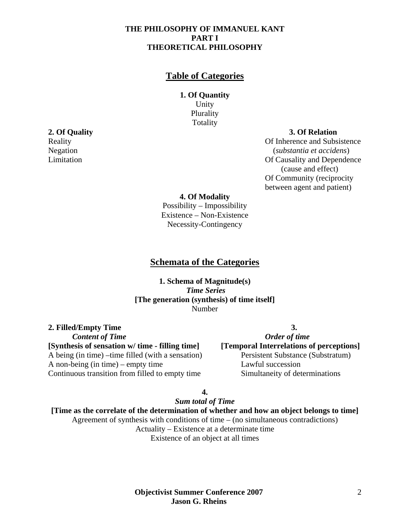# **Table of Categories**

#### **1. Of Quantity**  Unity Plurality Totality

**2. Of Quality 3. Of Relation** 

Reality **Contract Contract Contract Contract Contract Contract Contract Contract Contract Contract Contract Contract Contract Contract Contract Contract Contract Contract Contract Contract Contract Contract Contract Contra** Negation (*substantia et accidens*) Limitation Of Causality and Dependence (cause and effect) Of Community (reciprocity between agent and patient)

**4. Of Modality**

Possibility – Impossibility Existence – Non-Existence Necessity-Contingency

## **Schemata of the Categories**

**1. Schema of Magnitude(s)**   *Time Series* **[The generation (synthesis) of time itself]**  Number

**2. Filled/Empty Time 3.** *Content of Time Content of Time Content of Time* **[Synthesis of sensation w/ time - filling time] [Temporal Interrelations of perceptions]**  A being (in time) –time filled (with a sensation) Persistent Substance (Substratum) A non-being (in time) – empty time Lawful succession Continuous transition from filled to empty time Simultaneity of determinations

**4.** 

*Sum total of Time*

**[Time as the correlate of the determination of whether and how an object belongs to time]**  Agreement of synthesis with conditions of time – (no simultaneous contradictions) Actuality – Existence at a determinate time Existence of an object at all times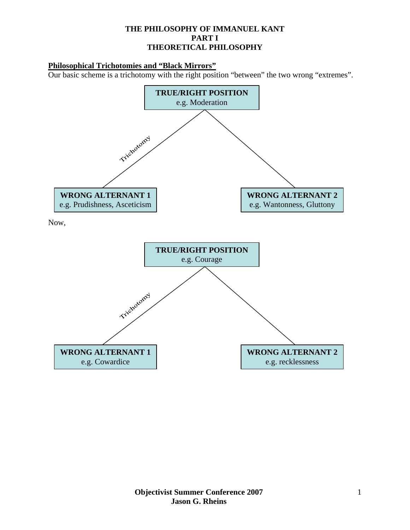## **Philosophical Trichotomies and "Black Mirrors"**

Our basic scheme is a trichotomy with the right position "between" the two wrong "extremes".

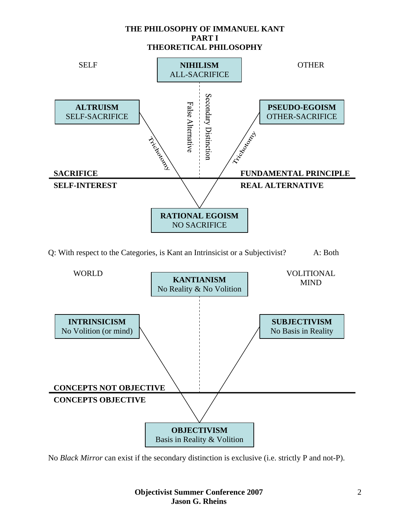

Q: With respect to the Categories, is Kant an Intrinsicist or a Subjectivist? A: Both



No *Black Mirror* can exist if the secondary distinction is exclusive (i.e. strictly P and not-P).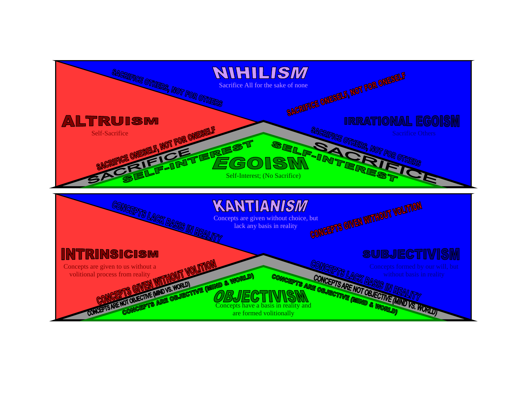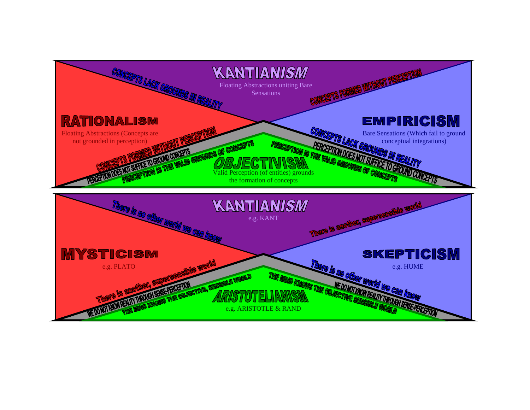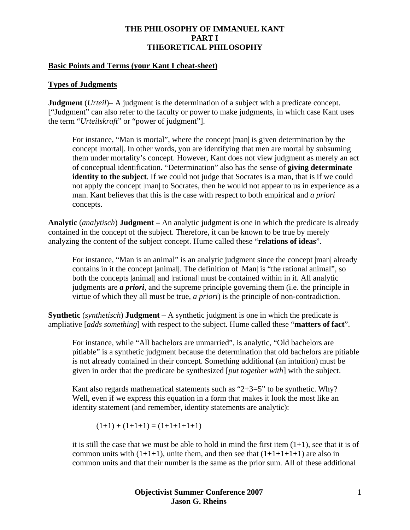#### **Basic Points and Terms (your Kant I cheat-sheet)**

#### **Types of Judgments**

**Judgment** (*Urteil*)– A judgment is the determination of a subject with a predicate concept. ["Judgment" can also refer to the faculty or power to make judgments, in which case Kant uses the term "*Urteilskraft*" or "power of judgment"].

For instance, "Man is mortal", where the concept  $|man|$  is given determination by the concept |mortal|. In other words, you are identifying that men are mortal by subsuming them under mortality's concept. However, Kant does not view judgment as merely an act of conceptual identification. "Determination" also has the sense of **giving determinate identity to the subject**. If we could not judge that Socrates is a man, that is if we could not apply the concept  $|\text{man}|$  to Socrates, then he would not appear to us in experience as a man. Kant believes that this is the case with respect to both empirical and *a priori* concepts.

**Analytic** (*analytisch*) **Judgment –** An analytic judgment is one in which the predicate is already contained in the concept of the subject. Therefore, it can be known to be true by merely analyzing the content of the subject concept. Hume called these "**relations of ideas**".

For instance, "Man is an animal" is an analytic judgment since the concept |man| already contains in it the concept |animal|. The definition of |Man| is "the rational animal", so both the concepts |animal| and |rational| must be contained within in it. All analytic judgments are *a priori*, and the supreme principle governing them (i.e. the principle in virtue of which they all must be true, *a priori*) is the principle of non-contradiction.

**Synthetic** (*synthetisch*) **Judgment** – A synthetic judgment is one in which the predicate is ampliative [*adds something*] with respect to the subject. Hume called these "**matters of fact**".

For instance, while "All bachelors are unmarried", is analytic, "Old bachelors are pitiable" is a synthetic judgment because the determination that old bachelors are pitiable is not already contained in their concept. Something additional (an intuition) must be given in order that the predicate be synthesized [*put together with*] with the subject.

Kant also regards mathematical statements such as " $2+3=5$ " to be synthetic. Why? Well, even if we express this equation in a form that makes it look the most like an identity statement (and remember, identity statements are analytic):

 $(1+1) + (1+1+1) = (1+1+1+1+1)$ 

it is still the case that we must be able to hold in mind the first item  $(1+1)$ , see that it is of common units with  $(1+1+1)$ , unite them, and then see that  $(1+1+1+1+1)$  are also in common units and that their number is the same as the prior sum. All of these additional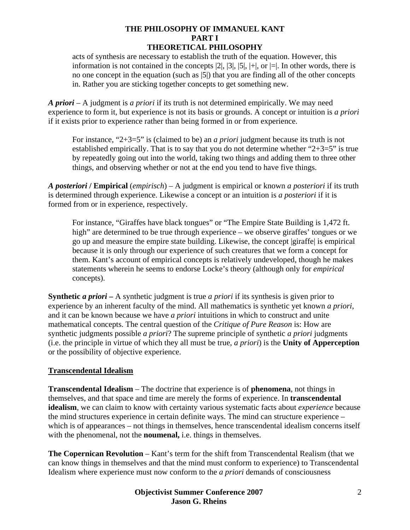acts of synthesis are necessary to establish the truth of the equation. However, this information is not contained in the concepts  $|2|, |3|, |5|, |+|$ , or  $|=|$ . In other words, there is no one concept in the equation (such as |5|) that you are finding all of the other concepts in. Rather you are sticking together concepts to get something new.

*A priori* – A judgment is *a priori* if its truth is not determined empirically. We may need experience to form it, but experience is not its basis or grounds. A concept or intuition is *a priori* if it exists prior to experience rather than being formed in or from experience.

For instance, "2+3=5" is (claimed to be) an *a priori* judgment because its truth is not established empirically. That is to say that you do not determine whether " $2+3=5$ " is true by repeatedly going out into the world, taking two things and adding them to three other things, and observing whether or not at the end you tend to have five things.

*A posteriori* **/ Empirical** (*empirisch*) – A judgment is empirical or known *a posteriori* if its truth is determined through experience. Likewise a concept or an intuition is *a posteriori* if it is formed from or in experience, respectively.

For instance, "Giraffes have black tongues" or "The Empire State Building is 1,472 ft. high" are determined to be true through experience – we observe giraffes' tongues or we go up and measure the empire state building. Likewise, the concept |giraffe| is empirical because it is only through our experience of such creatures that we form a concept for them. Kant's account of empirical concepts is relatively undeveloped, though he makes statements wherein he seems to endorse Locke's theory (although only for *empirical* concepts).

**Synthetic** *a priori* **–** A synthetic judgment is true *a priori* if its synthesis is given prior to experience by an inherent faculty of the mind. All mathematics is synthetic yet known *a priori*, and it can be known because we have *a priori* intuitions in which to construct and unite mathematical concepts. The central question of the *Critique of Pure Reason* is: How are synthetic judgments possible *a priori*? The supreme principle of synthetic *a priori* judgments (i.e. the principle in virtue of which they all must be true, *a priori*) is the **Unity of Apperception** or the possibility of objective experience.

## **Transcendental Idealism**

**Transcendental Idealism** – The doctrine that experience is of **phenomena**, not things in themselves, and that space and time are merely the forms of experience. In **transcendental idealism**, we can claim to know with certainty various systematic facts about *experience* because the mind structures experience in certain definite ways. The mind can structure experience – which is of appearances – not things in themselves, hence transcendental idealism concerns itself with the phenomenal, not the **noumenal,** i.e. things in themselves.

**The Copernican Revolution** – Kant's term for the shift from Transcendental Realism (that we can know things in themselves and that the mind must conform to experience) to Transcendental Idealism where experience must now conform to the *a priori* demands of consciousness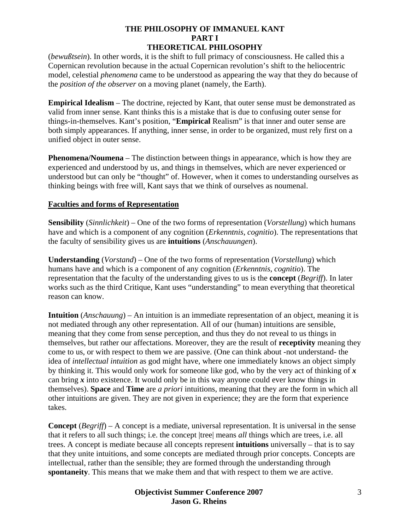(*bewußtsein*). In other words, it is the shift to full primacy of consciousness. He called this a Copernican revolution because in the actual Copernican revolution's shift to the heliocentric model, celestial *phenomena* came to be understood as appearing the way that they do because of the *position of the observer* on a moving planet (namely, the Earth).

**Empirical Idealism** – The doctrine, rejected by Kant, that outer sense must be demonstrated as valid from inner sense. Kant thinks this is a mistake that is due to confusing outer sense for things-in-themselves. Kant's position, "**Empirical** Realism" is that inner and outer sense are both simply appearances. If anything, inner sense, in order to be organized, must rely first on a unified object in outer sense.

**Phenomena/Noumena** – The distinction between things in appearance, which is how they are experienced and understood by us, and things in themselves, which are never experienced or understood but can only be "thought" of. However, when it comes to understanding ourselves as thinking beings with free will, Kant says that we think of ourselves as noumenal.

## **Faculties and forms of Representation**

**Sensibility** (*Sinnlichkeit*) – One of the two forms of representation (*Vorstellung*) which humans have and which is a component of any cognition (*Erkenntnis*, *cognitio*). The representations that the faculty of sensibility gives us are **intuitions** (*Anschauungen*).

**Understanding** (*Vorstand*) – One of the two forms of representation (*Vorstellung*) which humans have and which is a component of any cognition (*Erkenntnis*, *cognitio*). The representation that the faculty of the understanding gives to us is the **concept** (*Begriff*). In later works such as the third Critique, Kant uses "understanding" to mean everything that theoretical reason can know.

**Intuition** (*Anschauung*) – An intuition is an immediate representation of an object, meaning it is not mediated through any other representation. All of our (human) intuitions are sensible, meaning that they come from sense perception, and thus they do not reveal to us things in themselves, but rather our affectations. Moreover, they are the result of **receptivity** meaning they come to us, or with respect to them we are passive. (One can think about -not understand- the idea of *intellectual intuition* as god might have, where one immediately knows an object simply by thinking it. This would only work for someone like god, who by the very act of thinking of *x* can bring *x* into existence. It would only be in this way anyone could ever know things in themselves). **Space** and **Time** are *a priori* intuitions, meaning that they are the form in which all other intuitions are given. They are not given in experience; they are the form that experience takes.

**Concept** (*Begriff*) – A concept is a mediate, universal representation. It is universal in the sense that it refers to all such things; i.e. the concept |tree| means *all* things which are trees, i.e. all trees. A concept is mediate because all concepts represent **intuitions** universally – that is to say that they unite intuitions, and some concepts are mediated through prior concepts. Concepts are intellectual, rather than the sensible; they are formed through the understanding through **spontaneity**. This means that we make them and that with respect to them we are active.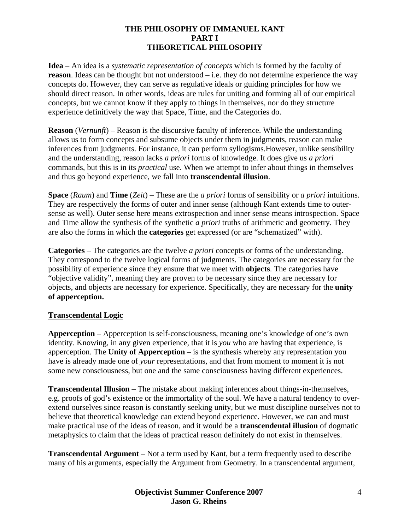**Idea** – An idea is a *systematic representation of concepts* which is formed by the faculty of **reason**. Ideas can be thought but not understood – i.e. they do not determine experience the way concepts do. However, they can serve as regulative ideals or guiding principles for how we should direct reason. In other words, ideas are rules for uniting and forming all of our empirical concepts, but we cannot know if they apply to things in themselves, nor do they structure experience definitively the way that Space, Time, and the Categories do.

**Reason** (*Vernunft*) – Reason is the discursive faculty of inference. While the understanding allows us to form concepts and subsume objects under them in judgments, reason can make inferences from judgments. For instance, it can perform syllogisms.However, unlike sensibility and the understanding, reason lacks *a priori* forms of knowledge. It does give us *a priori* commands, but this is in its *practical* use. When we attempt to infer about things in themselves and thus go beyond experience, we fall into **transcendental illusion**.

**Space** (*Raum*) and **Time** (*Zeit*) – These are the *a priori* forms of sensibility or *a priori* intuitions. They are respectively the forms of outer and inner sense (although Kant extends time to outersense as well). Outer sense here means extrospection and inner sense means introspection. Space and Time allow the synthesis of the synthetic *a priori* truths of arithmetic and geometry. They are also the forms in which the **categories** get expressed (or are "schematized" with).

**Categories** – The categories are the twelve *a priori* concepts or forms of the understanding. They correspond to the twelve logical forms of judgments. The categories are necessary for the possibility of experience since they ensure that we meet with **objects**. The categories have "objective validity", meaning they are proven to be necessary since they are necessary for objects, and objects are necessary for experience. Specifically, they are necessary for the **unity of apperception.**

## **Transcendental Logic**

**Apperception** – Apperception is self-consciousness, meaning one's knowledge of one's own identity. Knowing, in any given experience, that it is *you* who are having that experience, is apperception. The **Unity of Apperception** – is the synthesis whereby any representation you have is already made one of *your* representations, and that from moment to moment it is not some new consciousness, but one and the same consciousness having different experiences.

**Transcendental Illusion** – The mistake about making inferences about things-in-themselves, e.g. proofs of god's existence or the immortality of the soul. We have a natural tendency to overextend ourselves since reason is constantly seeking unity, but we must discipline ourselves not to believe that theoretical knowledge can extend beyond experience. However, we can and must make practical use of the ideas of reason, and it would be a **transcendental illusion** of dogmatic metaphysics to claim that the ideas of practical reason definitely do not exist in themselves.

**Transcendental Argument** – Not a term used by Kant, but a term frequently used to describe many of his arguments, especially the Argument from Geometry. In a transcendental argument,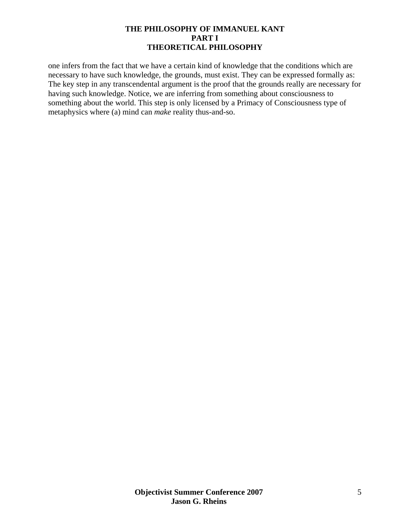one infers from the fact that we have a certain kind of knowledge that the conditions which are necessary to have such knowledge, the grounds, must exist. They can be expressed formally as: The key step in any transcendental argument is the proof that the grounds really are necessary for having such knowledge. Notice, we are inferring from something about consciousness to something about the world. This step is only licensed by a Primacy of Consciousness type of metaphysics where (a) mind can *make* reality thus-and-so.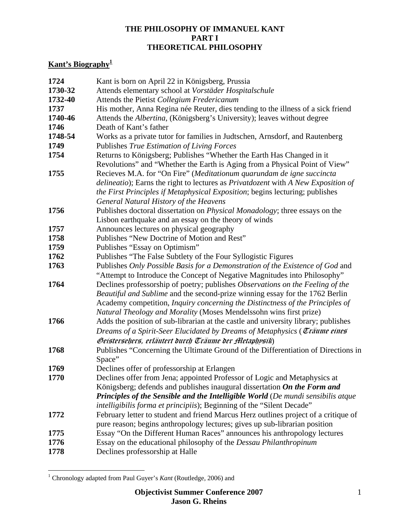# **Kant's Biography[1](#page-16-0)**

| 1724    | Kant is born on April 22 in Königsberg, Prussia                                                                                                                                                                                                                                                                              |
|---------|------------------------------------------------------------------------------------------------------------------------------------------------------------------------------------------------------------------------------------------------------------------------------------------------------------------------------|
| 1730-32 | Attends elementary school at Vorstäder Hospitalschule                                                                                                                                                                                                                                                                        |
| 1732-40 | Attends the Pietist Collegium Fredericanum                                                                                                                                                                                                                                                                                   |
| 1737    | His mother, Anna Regina née Reuter, dies tending to the illness of a sick friend                                                                                                                                                                                                                                             |
| 1740-46 | Attends the <i>Albertina</i> , (Königsberg's University); leaves without degree                                                                                                                                                                                                                                              |
| 1746    | Death of Kant's father                                                                                                                                                                                                                                                                                                       |
| 1748-54 | Works as a private tutor for families in Judtschen, Arnsdorf, and Rautenberg                                                                                                                                                                                                                                                 |
| 1749    | Publishes True Estimation of Living Forces                                                                                                                                                                                                                                                                                   |
| 1754    | Returns to Königsberg; Publishes "Whether the Earth Has Changed in it<br>Revolutions" and "Whether the Earth is Aging from a Physical Point of View"                                                                                                                                                                         |
| 1755    | Recieves M.A. for "On Fire" (Meditationum quarundam de igne succincta<br>delineatio); Earns the right to lectures as Privatdozent with A New Exposition of<br>the First Principles if Metaphysical Exposition; begins lecturing; publishes<br>General Natural History of the Heavens                                         |
| 1756    | Publishes doctoral dissertation on Physical Monadology; three essays on the                                                                                                                                                                                                                                                  |
|         | Lisbon earthquake and an essay on the theory of winds                                                                                                                                                                                                                                                                        |
| 1757    | Announces lectures on physical geography                                                                                                                                                                                                                                                                                     |
| 1758    | Publishes "New Doctrine of Motion and Rest"                                                                                                                                                                                                                                                                                  |
| 1759    | Publishes "Essay on Optimism"                                                                                                                                                                                                                                                                                                |
| 1762    | Publishes "The False Subtlety of the Four Syllogistic Figures"                                                                                                                                                                                                                                                               |
| 1763    | Publishes Only Possible Basis for a Demonstration of the Existence of God and<br>"Attempt to Introduce the Concept of Negative Magnitudes into Philosophy"                                                                                                                                                                   |
| 1764    | Declines professorship of poetry; publishes Observations on the Feeling of the<br><i>Beautiful and Sublime</i> and the second-prize winning essay for the 1762 Berlin<br>Academy competition, Inquiry concerning the Distinctness of the Principles of<br>Natural Theology and Morality (Moses Mendelssohn wins first prize) |
| 1766    | Adds the position of sub-librarian at the castle and university library; publishes<br>Dreams of a Spirit-Seer Elucidated by Dreams of Metaphysics (Träume eines<br>Geistersehers, erläutert durch Träume der Aletaphysik)                                                                                                    |
| 1768    | Publishes "Concerning the Ultimate Ground of the Differentiation of Directions in<br>Space"                                                                                                                                                                                                                                  |
| 1769    | Declines offer of professorship at Erlangen                                                                                                                                                                                                                                                                                  |
| 1770    | Declines offer from Jena; appointed Professor of Logic and Metaphysics at<br>Königsberg; defends and publishes inaugural dissertation On the Form and<br><b>Principles of the Sensible and the Intelligible World</b> (De mundi sensibilis atque<br>intelligibilis forma et principiis); Beginning of the "Silent Decade"    |
| 1772    | February letter to student and friend Marcus Herz outlines project of a critique of<br>pure reason; begins anthropology lectures; gives up sub-librarian position                                                                                                                                                            |
| 1775    | Essay "On the Different Human Races" announces his anthropology lectures                                                                                                                                                                                                                                                     |
| 1776    | Essay on the educational philosophy of the Dessau Philanthropinum                                                                                                                                                                                                                                                            |
| 1778    | Declines professorship at Halle                                                                                                                                                                                                                                                                                              |

<span id="page-16-0"></span> 1 Chronology adapted from Paul Guyer's *Kant* (Routledge, 2006) and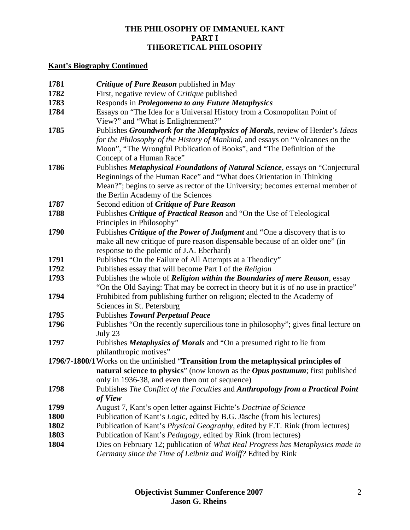# **Kant's Biography Continued**

| 1781 | <b>Critique of Pure Reason published in May</b>                                                                                                                                                                                                                                |
|------|--------------------------------------------------------------------------------------------------------------------------------------------------------------------------------------------------------------------------------------------------------------------------------|
| 1782 | First, negative review of <i>Critique</i> published                                                                                                                                                                                                                            |
| 1783 | Responds in <i>Prolegomena to any Future Metaphysics</i>                                                                                                                                                                                                                       |
| 1784 | Essays on "The Idea for a Universal History from a Cosmopolitan Point of<br>View?" and "What is Enlightenment?"                                                                                                                                                                |
| 1785 | Publishes Groundwork for the Metaphysics of Morals, review of Herder's Ideas<br>for the Philosophy of the History of Mankind, and essays on "Volcanoes on the<br>Moon", "The Wrongful Publication of Books", and "The Definition of the<br>Concept of a Human Race"            |
| 1786 | Publishes Metaphysical Foundations of Natural Science, essays on "Conjectural<br>Beginnings of the Human Race" and "What does Orientation in Thinking<br>Mean?"; begins to serve as rector of the University; becomes external member of<br>the Berlin Academy of the Sciences |
| 1787 | Second edition of Critique of Pure Reason                                                                                                                                                                                                                                      |
| 1788 | Publishes Critique of Practical Reason and "On the Use of Teleological<br>Principles in Philosophy"                                                                                                                                                                            |
| 1790 | Publishes Critique of the Power of Judgment and "One a discovery that is to<br>make all new critique of pure reason dispensable because of an older one" (in<br>response to the polemic of J.A. Eberhard)                                                                      |
| 1791 | Publishes "On the Failure of All Attempts at a Theodicy"                                                                                                                                                                                                                       |
| 1792 | Publishes essay that will become Part I of the Religion                                                                                                                                                                                                                        |
| 1793 | Publishes the whole of Religion within the Boundaries of mere Reason, essay<br>"On the Old Saying: That may be correct in theory but it is of no use in practice"                                                                                                              |
| 1794 | Prohibited from publishing further on religion; elected to the Academy of<br>Sciences in St. Petersburg                                                                                                                                                                        |
| 1795 | Publishes Toward Perpetual Peace                                                                                                                                                                                                                                               |
| 1796 | Publishes "On the recently supercilious tone in philosophy"; gives final lecture on<br>July 23                                                                                                                                                                                 |
| 1797 | Publishes Metaphysics of Morals and "On a presumed right to lie from<br>philanthropic motives"                                                                                                                                                                                 |
|      | 1796/7-1800/1 Works on the unfinished "Transition from the metaphysical principles of                                                                                                                                                                                          |
|      | natural science to physics" (now known as the <i>Opus postumum</i> ; first published<br>only in 1936-38, and even then out of sequence)                                                                                                                                        |
| 1798 | Publishes The Conflict of the Faculties and Anthropology from a Practical Point<br>of View                                                                                                                                                                                     |
| 1799 | August 7, Kant's open letter against Fichte's Doctrine of Science                                                                                                                                                                                                              |
| 1800 | Publication of Kant's Logic, edited by B.G. Jäsche (from his lectures)                                                                                                                                                                                                         |
| 1802 | Publication of Kant's <i>Physical Geography</i> , edited by F.T. Rink (from lectures)                                                                                                                                                                                          |
| 1803 | Publication of Kant's Pedagogy, edited by Rink (from lectures)                                                                                                                                                                                                                 |
| 1804 | Dies on February 12; publication of What Real Progress has Metaphysics made in<br>Germany since the Time of Leibniz and Wolff? Edited by Rink                                                                                                                                  |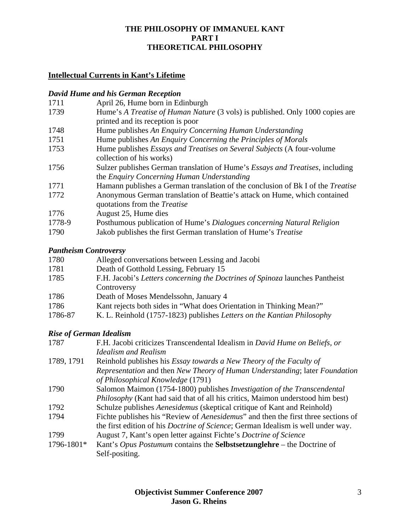# **Intellectual Currents in Kant's Lifetime**

# *David Hume and his German Reception*

| 1711   | April 26, Hume born in Edinburgh                                                                                                    |
|--------|-------------------------------------------------------------------------------------------------------------------------------------|
| 1739   | Hume's A Treatise of Human Nature (3 vols) is published. Only 1000 copies are                                                       |
|        | printed and its reception is poor                                                                                                   |
| 1748   | Hume publishes An Enquiry Concerning Human Understanding                                                                            |
| 1751   | Hume publishes An Enquiry Concerning the Principles of Morals                                                                       |
| 1753   | Hume publishes <i>Essays and Treatises on Several Subjects</i> (A four-volume<br>collection of his works)                           |
| 1756   | Sulzer publishes German translation of Hume's <i>Essays and Treatises</i> , including<br>the Enquiry Concerning Human Understanding |
| 1771   | Hamann publishes a German translation of the conclusion of Bk I of the Treatise                                                     |
| 1772   | Anonymous German translation of Beattie's attack on Hume, which contained<br>quotations from the <i>Treatise</i>                    |
| 1776   | August 25, Hume dies                                                                                                                |
| 1778-9 | Posthumous publication of Hume's Dialogues concerning Natural Religion                                                              |
| 1790   | Jakob publishes the first German translation of Hume's Treatise                                                                     |

# *Pantheism Controversy*

| 1780    | Alleged conversations between Lessing and Jacobi                             |
|---------|------------------------------------------------------------------------------|
| 1781    | Death of Gotthold Lessing, February 15                                       |
| 1785    | F.H. Jacobi's Letters concerning the Doctrines of Spinoza launches Pantheist |
|         | Controversy                                                                  |
| 1786    | Death of Moses Mendelssohn, January 4                                        |
| 1786    | Kant rejects both sides in "What does Orientation in Thinking Mean?"         |
| 1786-87 | K. L. Reinhold (1757-1823) publishes Letters on the Kantian Philosophy       |

# *Rise of German Idealism*

| 1787       | F.H. Jacobi criticizes Transcendental Idealism in David Hume on Beliefs, or               |
|------------|-------------------------------------------------------------------------------------------|
|            | <b>Idealism and Realism</b>                                                               |
| 1789, 1791 | Reinhold publishes his Essay towards a New Theory of the Faculty of                       |
|            | Representation and then New Theory of Human Understanding; later Foundation               |
|            | of Philosophical Knowledge (1791)                                                         |
| 1790       | Salomon Maimon (1754-1800) publishes <i>Investigation of the Transcendental</i>           |
|            | <i>Philosophy</i> (Kant had said that of all his critics, Maimon understood him best)     |
| 1792       | Schulze publishes Aenesidemus (skeptical critique of Kant and Reinhold)                   |
| 1794       | Fichte publishes his "Review of <i>Aenesidemus</i> " and then the first three sections of |
|            | the first edition of his <i>Doctrine of Science</i> ; German Idealism is well under way.  |
| 1799       | August 7, Kant's open letter against Fichte's <i>Doctrine of Science</i>                  |
| 1796-1801* | Kant's Opus Postumum contains the Selbstsetzunglehre – the Doctrine of                    |
|            | Self-positing.                                                                            |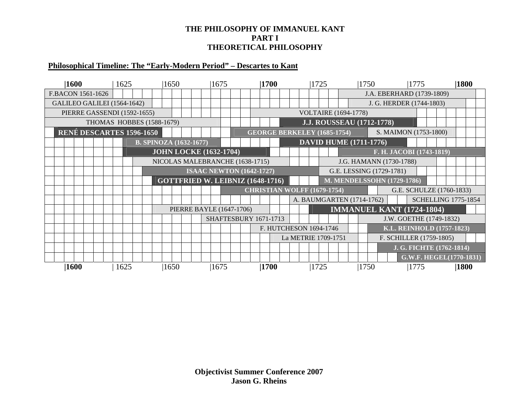## **Philosophical Timeline: The "Early-Modern Period" – Descartes to Kant**

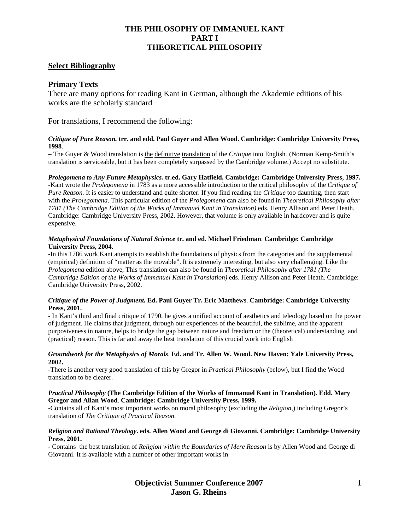#### **Select Bibliography**

#### **Primary Texts**

There are many options for reading Kant in German, although the Akademie editions of his works are the scholarly standard

For translations, I recommend the following:

#### *Critique of Pure Reason.* **trr. and edd. Paul Guyer and Allen Wood. Cambridge: Cambridge University Press, 1998**.

– The Guyer & Wood translation is the definitive translation of the *Critique* into English*.* (Norman Kemp-Smith's translation is serviceable, but it has been completely surpassed by the Cambridge volume.) Accept no substitute.

#### *Prolegomena to Any Future Metaphysics.* **tr.ed. Gary Hatfield. Cambridge: Cambridge University Press, 1997.**

-Kant wrote the *Prolegomena* in 1783 as a more accessible introduction to the critical philosophy of the *Critique of Pure Reason.* It is easier to understand and quite shorter. If you find reading the *Critique* too daunting, then start with the *Prolegomena*. This particular edition of the *Prolegomena* can also be found in *Theoretical Philosophy after 1781 (The Cambridge Edition of the Works of Immanuel Kant in Translation)* eds. Henry Allison and Peter Heath. Cambridge: Cambridge University Press, 2002. However, that volume is only available in hardcover and is quite expensive.

#### *Metaphysical Foundations of Natural Science* **tr. and ed. Michael Friedman**. **Cambridge: Cambridge University Press, 2004.**

-In this 1786 work Kant attempts to establish the foundations of physics from the categories and the supplemental (empirical) definition of "matter as the movable". It is extremely interesting, but also very challenging. Like the *Prolegomena* edition above, This translation can also be found in *Theoretical Philosophy after 1781 (The Cambridge Edition of the Works of Immanuel Kant in Translation)* eds. Henry Allison and Peter Heath. Cambridge: Cambridge University Press, 2002.

#### *Critique of the Power of Judgment.* **Ed. Paul Guyer Tr. Eric Matthews**. **Cambridge: Cambridge University Press, 2001.**

- In Kant's third and final critique of 1790, he gives a unified account of aesthetics and teleology based on the power of judgment. He claims that judgment, through our experiences of the beautiful, the sublime, and the apparent purposiveness in nature, helps to bridge the gap between nature and freedom or the (theoretical) understanding and (practical) reason. This is far and away the best translation of this crucial work into English

#### *Groundwork for the Metaphysics of Morals*. **Ed. and Tr. Allen W. Wood. New Haven: Yale University Press, 2002.**

-There is another very good translation of this by Gregor in *Practical Philosophy* (below), but I find the Wood translation to be clearer.

#### *Practical Philosophy* **(The Cambridge Edition of the Works of Immanuel Kant in Translation)***.* **Edd. Mary Gregor and Allan Wood**. **Cambridge: Cambridge University Press, 1999.**

-Contains all of Kant's most important works on moral philosophy (excluding the *Religion*,) including Gregor's translation of *The Critique of Practical Reason*.

#### *Religion and Rational Theology***. eds. Allen Wood and George di Giovanni. Cambridge: Cambridge University Press, 2001.**

- Contains the best translation of *Religion within the Boundaries of Mere Reason* is by Allen Wood and George di Giovanni. It is available with a number of other important works in

> **Objectivist Summer Conference 2007** 1 **Jason G. Rheins**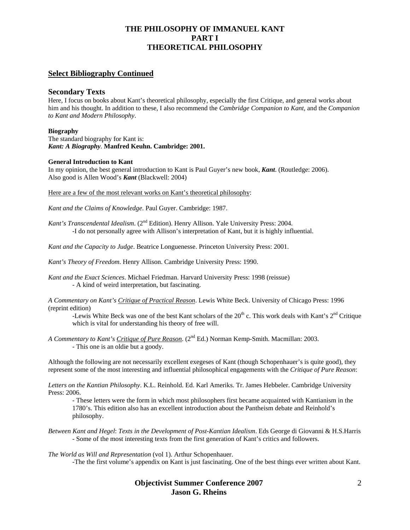#### **Select Bibliography Continued**

#### **Secondary Texts**

Here, I focus on books about Kant's theoretical philosophy, especially the first Critique, and general works about him and his thought. In addition to these, I also recommend the *Cambridge Companion to Kant*, and the *Companion to Kant and Modern Philosophy*.

#### **Biography**

The standard biography for Kant is: *Kant: A Biography.* **Manfred Keuhn. Cambridge: 2001.** 

#### **General Introduction to Kant**

In my opinion, the best general introduction to Kant is Paul Guyer's new book, *Kant*. (Routledge: 2006). Also good is Allen Wood's *Kant* (Blackwell: 2004)

Here are a few of the most relevant works on Kant's theoretical philosophy:

*Kant and the Claims of Knowledge*. Paul Guyer. Cambridge: 1987.

Kant's Transcendental *Idealism*. (2<sup>nd</sup> Edition). Henry Allison. Yale University Press: 2004. -I do not personally agree with Allison's interpretation of Kant, but it is highly influential.

*Kant and the Capacity to Judge*. Beatrice Longuenesse. Princeton University Press: 2001.

*Kant's Theory of Freedom*. Henry Allison. Cambridge University Press: 1990.

*Kant and the Exact Sciences*. Michael Friedman. Harvard University Press: 1998 (reissue) - A kind of weird interpretation, but fascinating.

*A Commentary on Kant's Critique of Practical Reason*. Lewis White Beck. University of Chicago Press: 1996 (reprint edition)

-Lewis White Beck was one of the best Kant scholars of the  $20^{th}$  c. This work deals with Kant's  $2^{nd}$  Critique which is vital for understanding his theory of free will.

*A Commentary to Kant's Critique of Pure Reason*. (2nd Ed.) Norman Kemp-Smith. Macmillan: 2003. - This one is an oldie but a goody.

Although the following are not necessarily excellent exegeses of Kant (though Schopenhauer's is quite good), they represent some of the most interesting and influential philosophical engagements with the *Critique of Pure Reason*:

*Letters on the Kantian Philosophy*. K.L. Reinhold. Ed. Karl Ameriks. Tr. James Hebbeler. Cambridge University Press: 2006.

- These letters were the form in which most philosophers first became acquainted with Kantianism in the 1780's. This edition also has an excellent introduction about the Pantheism debate and Reinhold's philosophy.

*Between Kant and Hegel*: *Texts in the Development of Post-Kantian Idealism*. Eds George di Giovanni & H.S.Harris - Some of the most interesting texts from the first generation of Kant's critics and followers.

*The World as Will and Representation* (vol 1). Arthur Schopenhauer. -The the first volume's appendix on Kant is just fascinating. One of the best things ever written about Kant.

#### **Objectivist Summer Conference 2007** 2 **Jason G. Rheins**